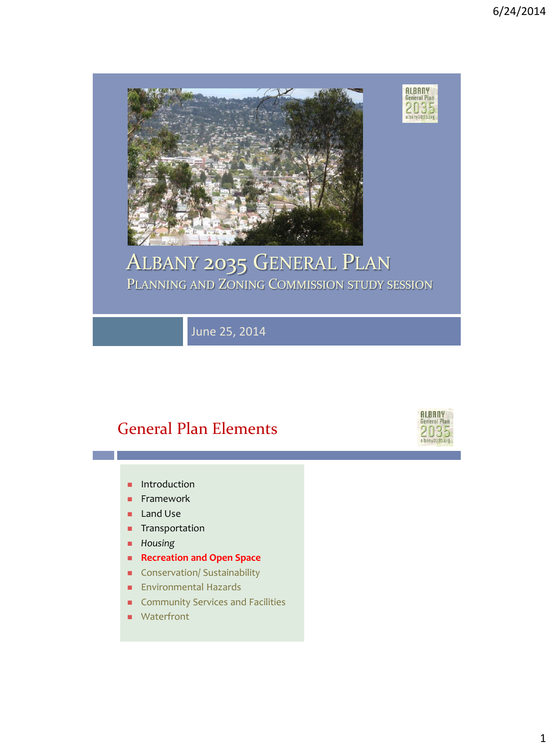

## ALBANY 2035 GENERAL PLAN PLANNING AND ZONING COMMISSION STUDY SESSION

June 25, 2014

### General Plan Elements

- **Introduction**
- **Framework**
- **Land Use**
- **Transportation**
- *Housing*
- **Recreation and Open Space**
- **Conservation/ Sustainability**
- **Environmental Hazards**
- **Community Services and Facilities**
- **Waterfront**

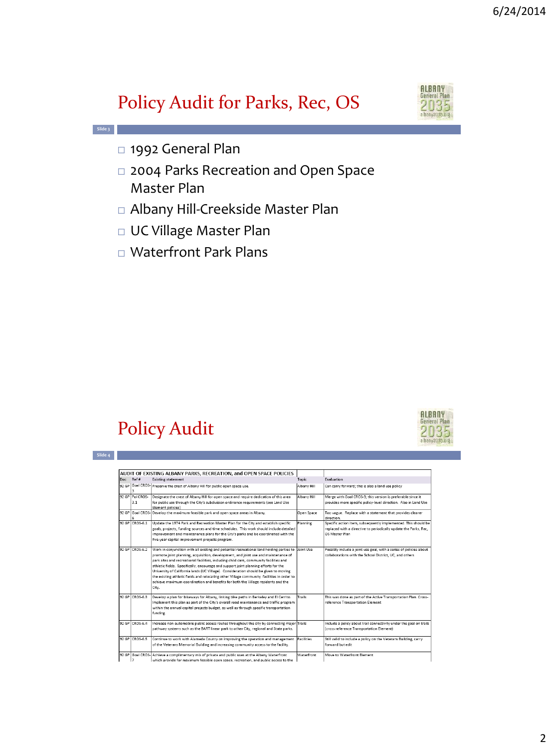# Policy Audit for Parks, Rec, OS



- 1992 General Plan
- 2004 Parks Recreation and Open Space Master Plan
- Albany Hill-Creekside Master Plan
- UC Village Master Plan
- Waterfront Park Plans

## Policy Audit



|--|

**Slide 3**

|     |                  | AUDIT OF EXISTING ALBANY PARKS. RECREATION, and OPEN SPACE POLICIES                                     |             |                                                                         |
|-----|------------------|---------------------------------------------------------------------------------------------------------|-------------|-------------------------------------------------------------------------|
| Doc | Ref #            | <b>Existing statement</b>                                                                               | Topic       | Evaluation                                                              |
|     |                  | 92 GP Goal CROS- Preserve the crest of Albany Hill for public open space use.                           | Albany Hill | Can carry forward; this is also a land use policy                       |
|     | 92 GP Pol CROS-  | Designate the crest of Albany Hill for open space and require dedication of this area                   | Albany Hill | Merge with Goal CROS-3: this version is preferable since it             |
|     | 3.1              | for public use through the City's subdivision ordinance requirements (see Land Use<br>Element policies) |             | provides more specific policy-level direction. Also in Land Use         |
|     |                  | 92 GP Goal CROS- Develop the maximum feasible park and open space areas in Albany.                      | Open Space  | Too vague. Replace with a statement that provides clearer<br>direction. |
|     | 92 GP CROS-6.1   | Update the 1974 Park and Recreation Master Plan for the City and establish specific                     | Planning    | Specific action item, subsequently implemented. This should be          |
|     |                  | goals, projects, funding sources and time schedules. This work should include detailed                  |             | replaced with a directive to periodically update the Parks, Rec,        |
|     |                  | improvement and maintenance plans for the City's parks and be coordinated with the                      |             | OS Master Plan                                                          |
|     |                  | five-year capital improvement projects program.                                                         |             |                                                                         |
|     | 92 GP CROS-6.2   | Work in conjunction with all existing and potential recreational land holding parties to                | Joint Use   | Possibly include a joint use goal, with a series of policies about      |
|     |                  | promote joint planning, acquisition, development, and joint use and maintenance of                      |             | collaborations with the School District. UC. and others                 |
|     |                  | park sites and recreational facilities, including child care, community facilities and                  |             |                                                                         |
|     |                  | athletic fields. Specifically, encourage and support joint planning efforts for the                     |             |                                                                         |
|     |                  | University of California lands (UC Village). Consideration should be given to moving                    |             |                                                                         |
|     |                  | the existing athletic fields and relocating other Village community facilities in order to              |             |                                                                         |
|     |                  | achieve maximum coordination and benefits for both the Village residents and the                        |             |                                                                         |
|     |                  | City.                                                                                                   |             |                                                                         |
|     | 92 GP CROS-6.3   | Develop a plan for bikeways for Albany, linking bike paths in Berkeley and El Cerrito.                  | Trails      | This was done as part of the Active Transportation Plan. Cross-         |
|     |                  | Implement this plan as part of the City's overall road maintenance and traffic program                  |             | reference Transportation Element                                        |
|     |                  | within the annual capital projects budget, as well as through specific transportation                   |             |                                                                         |
|     |                  | funding.                                                                                                |             |                                                                         |
|     | 92 GP CROS-6.4   | Increase non-automobile public access routes throughout the city by connecting major Trails             |             | Include a policy about trail connectivity under the goal on trails      |
|     |                  | pathway systems such as the BART linear park to other City, regional and State parks.                   |             | (cross reference Transportation Element)                                |
|     | 92 GP CROS-6.5   | Continue to work with Alameda County on improving the operation and management                          | Facilities  | Still valid to include a policy on the Veterans Building, carry         |
|     |                  | of the Veterans Memorial Building and increasing community access to the facility.                      |             | forward but edit                                                        |
|     | 92 GP Goal CROS- | Achieve a complimentary mix of private and public uses at the Albany Waterfront                         | Waterfront  | Move to Waterfront Element                                              |
|     |                  | which provide for maximum feasible open space, recreation, and public access to the                     |             |                                                                         |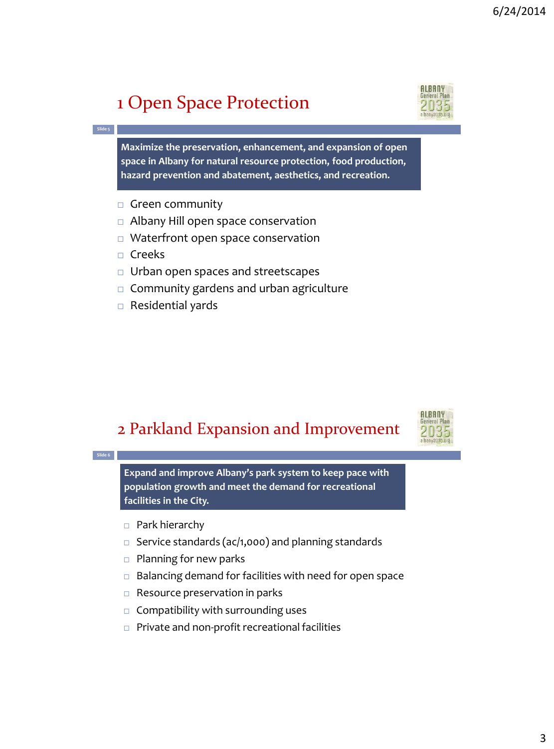# 1 Open Space Protection

**Maximize the preservation, enhancement, and expansion of open space in Albany for natural resource protection, food production, hazard prevention and abatement, aesthetics, and recreation.** 

- $\Box$  Green community
- $\Box$  Albany Hill open space conservation
- $\Box$  Waterfront open space conservation
- $\Box$  Creeks

**Slide 5**

- $\Box$  Urban open spaces and streetscapes
- $\Box$  Community gardens and urban agriculture
- $\Box$  Residential yards

#### 2 Parkland Expansion and Improvement

**Slide 6** □ Park hierarchy  $\Box$  Service standards (ac/1,000) and planning standards  $\Box$  Planning for new parks  $\Box$  Balancing demand for facilities with need for open space  $\Box$  Resource preservation in parks  $\Box$  Compatibility with surrounding uses □ Private and non-profit recreational facilities **Expand and improve Albany's park system to keep pace with population growth and meet the demand for recreational facilities in the City.** 



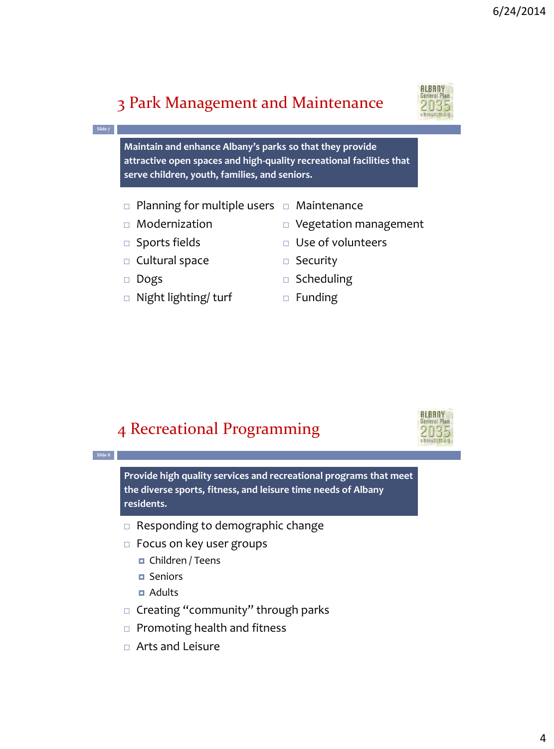**ALBANY** General Plan

**ALBANY** eneral Plan 2035

### 3 Park Management and Maintenance

**Maintain and enhance Albany's parks so that they provide attractive open spaces and high-quality recreational facilities that serve children, youth, families, and seniors.**

- $\verb| C |$  Planning for multiple users  $\verb| C |$  Maintenance
- Modernization
- 
- □ Sports fields
- □ Cultural space
- Dogs

**Slide 7**

- □ Night lighting/ turf
- Vegetation management
- Use of volunteers
- □ Security
- $\square$  Scheduling
- $\Box$  Funding

#### 4 Recreational Programming

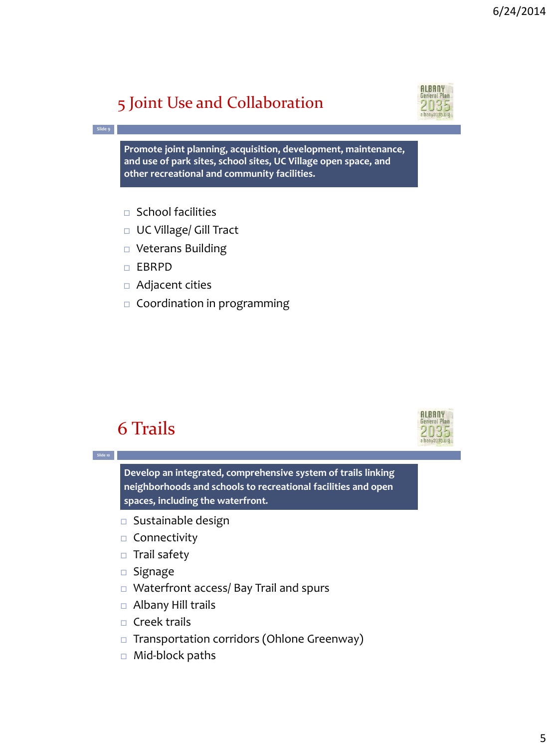## 5 Joint Use and Collaboration

**Promote joint planning, acquisition, development, maintenance, and use of park sites, school sites, UC Village open space, and other recreational and community facilities.** 

- $\Box$  School facilities
- □ UC Village/ Gill Tract
- □ Veterans Building
- EBRPD

**Slide 9**

- Adjacent cities
- $\Box$  Coordination in programming

### 6 Trails

**Slide 10**

**Develop an integrated, comprehensive system of trails linking neighborhoods and schools to recreational facilities and open spaces, including the waterfront***.*

- $\square$  Sustainable design
- $\Box$  Connectivity
- □ Trail safety
- $\square$  Signage
- □ Waterfront access/ Bay Trail and spurs
- □ Albany Hill trails
- $\Box$  Creek trails
- □ Transportation corridors (Ohlone Greenway)
- $\Box$  Mid-block paths



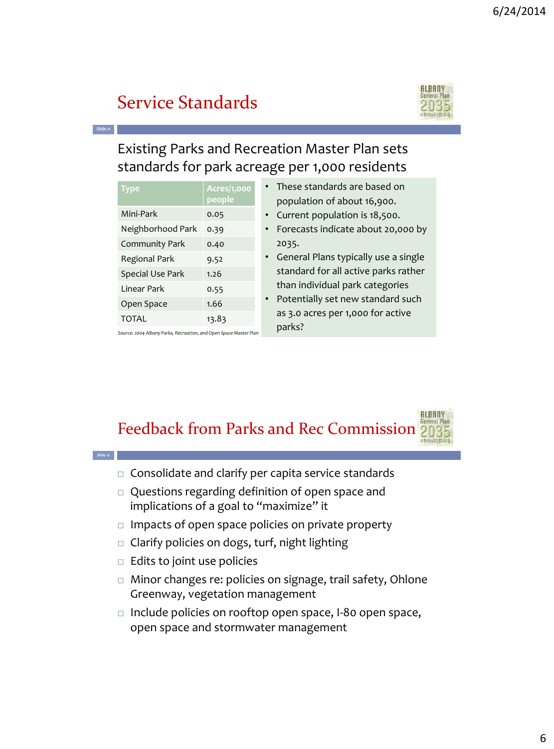## Service Standards

**Slide 11**

**Slide 12**



**ALBANY** 

Existing Parks and Recreation Master Plan sets standards for park acreage per 1,000 residents

| Type              | Acres/1,000<br>people |
|-------------------|-----------------------|
| Mini-Park         | 0.05                  |
| Neighborhood Park | 0.39                  |
| Community Park    | 0.40                  |
| Regional Park     | 9.52                  |
| Special Use Park  | 1.26                  |
| Linear Park       | 0.55                  |
| Open Space        | 1.66                  |
| <b>TOTAL</b>      | 13.83                 |

*Source: 2004 Albany Parks, Recreation, and Open Space Master Plan*

- These standards are based on population of about 16,900.
- Current population is 18,500.
- Forecasts indicate about 20,000 by 2035.
- General Plans typically use a single standard for all active parks rather than individual park categories
- Potentially set new standard such as 3.0 acres per 1,000 for active parks?

Feedback from Parks and Rec Commission 2035

- $\Box$  Consolidate and clarify per capita service standards
- Questions regarding definition of open space and implications of a goal to "maximize" it
- $\Box$  Impacts of open space policies on private property
- $\Box$  Clarify policies on dogs, turf, night lighting
- $\Box$  Edits to joint use policies
- □ Minor changes re: policies on signage, trail safety, Ohlone Greenway, vegetation management
- $\Box$  Include policies on rooftop open space, I-80 open space, open space and stormwater management